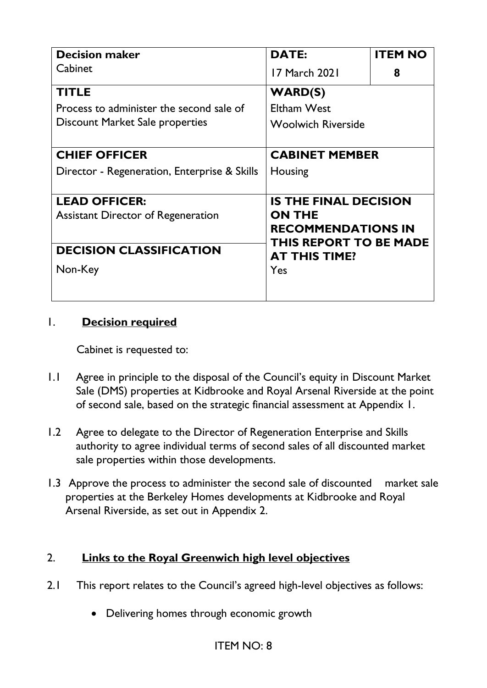| <b>Decision maker</b>                        | <b>DATE:</b>                                                 | <b>ITEM NO</b> |
|----------------------------------------------|--------------------------------------------------------------|----------------|
| Cabinet                                      | 17 March 2021                                                | 8              |
| <b>TITLE</b>                                 | <b>WARD(S)</b>                                               |                |
| Process to administer the second sale of     | <b>Eltham West</b>                                           |                |
| Discount Market Sale properties              | <b>Woolwich Riverside</b>                                    |                |
| <b>CHIEF OFFICER</b>                         | <b>CABINET MEMBER</b>                                        |                |
| Director - Regeneration, Enterprise & Skills | Housing                                                      |                |
| <b>LEAD OFFICER:</b>                         | <b>IS THE FINAL DECISION</b>                                 |                |
| <b>Assistant Director of Regeneration</b>    | <b>ON THE</b><br><b>RECOMMENDATIONS IN</b>                   |                |
| <b>DECISION CLASSIFICATION</b>               | <b>THIS REPORT TO BE MADE</b><br><b>AT THIS TIME?</b><br>Yes |                |
| Non-Key                                      |                                                              |                |
|                                              |                                                              |                |

#### 1. **Decision required**

Cabinet is requested to:

- 1.1 Agree in principle to the disposal of the Council's equity in Discount Market Sale (DMS) properties at Kidbrooke and Royal Arsenal Riverside at the point of second sale, based on the strategic financial assessment at Appendix 1.
- 1.2 Agree to delegate to the Director of Regeneration Enterprise and Skills authority to agree individual terms of second sales of all discounted market sale properties within those developments.
- 1.3 Approve the process to administer the second sale of discounted market sale properties at the Berkeley Homes developments at Kidbrooke and Royal Arsenal Riverside, as set out in Appendix 2.

# 2. **Links to the Royal Greenwich high level objectives**

- 2.1 This report relates to the Council's agreed high-level objectives as follows:
	- Delivering homes through economic growth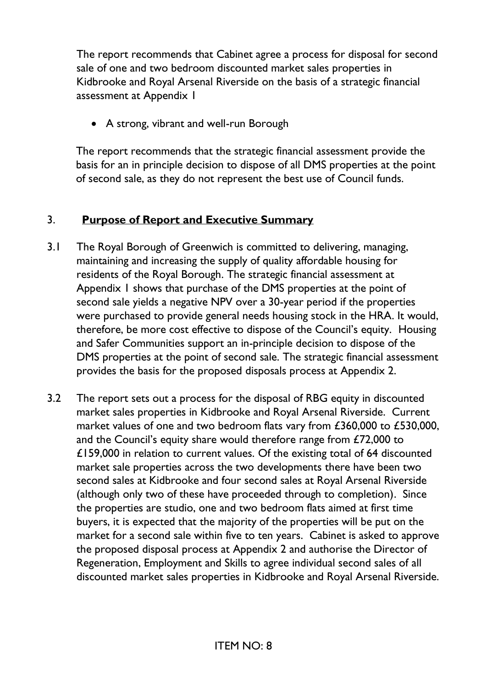The report recommends that Cabinet agree a process for disposal for second sale of one and two bedroom discounted market sales properties in Kidbrooke and Royal Arsenal Riverside on the basis of a strategic financial assessment at Appendix 1

• A strong, vibrant and well-run Borough

The report recommends that the strategic financial assessment provide the basis for an in principle decision to dispose of all DMS properties at the point of second sale, as they do not represent the best use of Council funds.

### 3. **Purpose of Report and Executive Summary**

- 3.1 The Royal Borough of Greenwich is committed to delivering, managing, maintaining and increasing the supply of quality affordable housing for residents of the Royal Borough. The strategic financial assessment at Appendix 1 shows that purchase of the DMS properties at the point of second sale yields a negative NPV over a 30-year period if the properties were purchased to provide general needs housing stock in the HRA. It would, therefore, be more cost effective to dispose of the Council's equity. Housing and Safer Communities support an in-principle decision to dispose of the DMS properties at the point of second sale. The strategic financial assessment provides the basis for the proposed disposals process at Appendix 2.
- 3.2 The report sets out a process for the disposal of RBG equity in discounted market sales properties in Kidbrooke and Royal Arsenal Riverside. Current market values of one and two bedroom flats vary from £360,000 to £530,000, and the Council's equity share would therefore range from £72,000 to £159,000 in relation to current values. Of the existing total of 64 discounted market sale properties across the two developments there have been two second sales at Kidbrooke and four second sales at Royal Arsenal Riverside (although only two of these have proceeded through to completion). Since the properties are studio, one and two bedroom flats aimed at first time buyers, it is expected that the majority of the properties will be put on the market for a second sale within five to ten years. Cabinet is asked to approve the proposed disposal process at Appendix 2 and authorise the Director of Regeneration, Employment and Skills to agree individual second sales of all discounted market sales properties in Kidbrooke and Royal Arsenal Riverside.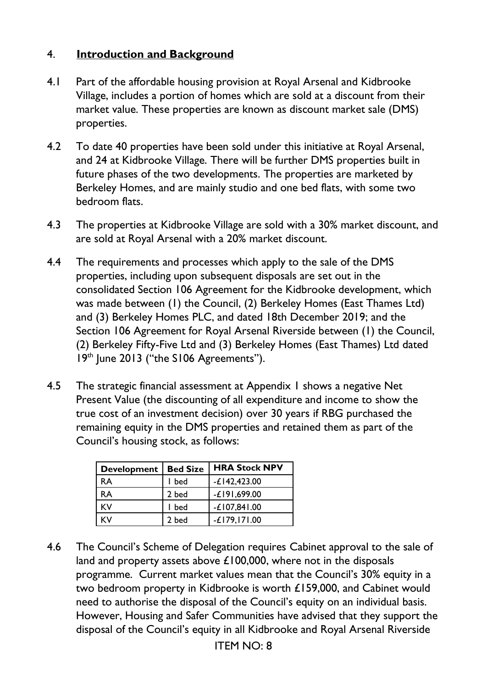### 4. **Introduction and Background**

- 4.1 Part of the affordable housing provision at Royal Arsenal and Kidbrooke Village, includes a portion of homes which are sold at a discount from their market value. These properties are known as discount market sale (DMS) properties.
- 4.2 To date 40 properties have been sold under this initiative at Royal Arsenal, and 24 at Kidbrooke Village. There will be further DMS properties built in future phases of the two developments. The properties are marketed by Berkeley Homes, and are mainly studio and one bed flats, with some two bedroom flats.
- 4.3 The properties at Kidbrooke Village are sold with a 30% market discount, and are sold at Royal Arsenal with a 20% market discount.
- 4.4 The requirements and processes which apply to the sale of the DMS properties, including upon subsequent disposals are set out in the consolidated Section 106 Agreement for the Kidbrooke development, which was made between (1) the Council, (2) Berkeley Homes (East Thames Ltd) and (3) Berkeley Homes PLC, and dated 18th December 2019; and the Section 106 Agreement for Royal Arsenal Riverside between (1) the Council, (2) Berkeley Fifty-Five Ltd and (3) Berkeley Homes (East Thames) Ltd dated 19<sup>th</sup> June 2013 ("the S106 Agreements").
- 4.5 The strategic financial assessment at Appendix 1 shows a negative Net Present Value (the discounting of all expenditure and income to show the true cost of an investment decision) over 30 years if RBG purchased the remaining equity in the DMS properties and retained them as part of the Council's housing stock, as follows:

| <b>Development</b> | <b>Bed Size</b> | <b>HRA Stock NPV</b> |
|--------------------|-----------------|----------------------|
| <b>RA</b>          | l bed           | $-E142,423.00$       |
| <b>RA</b>          | 2 bed           | $-£$ 191,699.00      |
| <b>KV</b>          | l bed           | $-£107,841.00$       |
| KV                 | 2 bed           | $-L179, 171.00$      |

4.6 The Council's Scheme of Delegation requires Cabinet approval to the sale of land and property assets above £100,000, where not in the disposals programme. Current market values mean that the Council's 30% equity in a two bedroom property in Kidbrooke is worth £159,000, and Cabinet would need to authorise the disposal of the Council's equity on an individual basis. However, Housing and Safer Communities have advised that they support the disposal of the Council's equity in all Kidbrooke and Royal Arsenal Riverside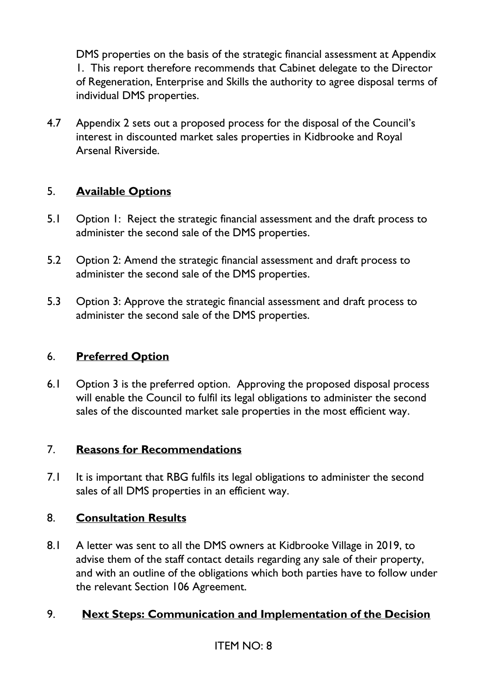DMS properties on the basis of the strategic financial assessment at Appendix 1. This report therefore recommends that Cabinet delegate to the Director of Regeneration, Enterprise and Skills the authority to agree disposal terms of individual DMS properties.

4.7 Appendix 2 sets out a proposed process for the disposal of the Council's interest in discounted market sales properties in Kidbrooke and Royal Arsenal Riverside.

## 5. **Available Options**

- 5.1 Option 1: Reject the strategic financial assessment and the draft process to administer the second sale of the DMS properties.
- 5.2 Option 2: Amend the strategic financial assessment and draft process to administer the second sale of the DMS properties.
- 5.3 Option 3: Approve the strategic financial assessment and draft process to administer the second sale of the DMS properties.

### 6. **Preferred Option**

6.1 Option 3 is the preferred option. Approving the proposed disposal process will enable the Council to fulfil its legal obligations to administer the second sales of the discounted market sale properties in the most efficient way.

#### 7. **Reasons for Recommendations**

7.1 It is important that RBG fulfils its legal obligations to administer the second sales of all DMS properties in an efficient way.

#### 8. **Consultation Results**

8.1 A letter was sent to all the DMS owners at Kidbrooke Village in 2019, to advise them of the staff contact details regarding any sale of their property, and with an outline of the obligations which both parties have to follow under the relevant Section 106 Agreement.

### 9. **Next Steps: Communication and Implementation of the Decision**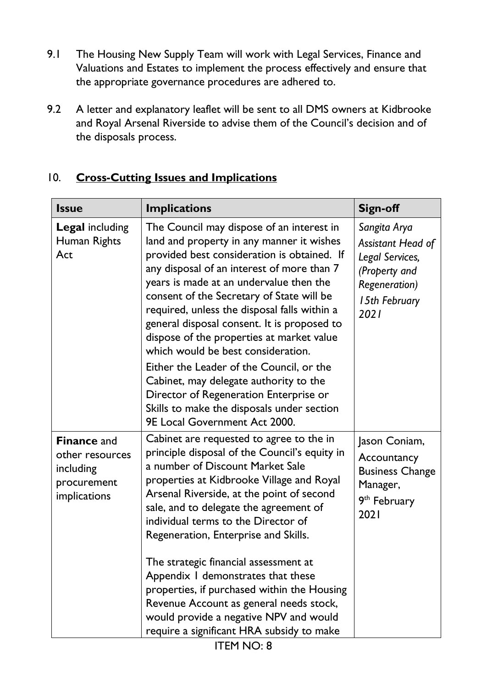- 9.1 The Housing New Supply Team will work with Legal Services, Finance and Valuations and Estates to implement the process effectively and ensure that the appropriate governance procedures are adhered to.
- 9.2 A letter and explanatory leaflet will be sent to all DMS owners at Kidbrooke and Royal Arsenal Riverside to advise them of the Council's decision and of the disposals process.

| <b>Issue</b>                                                                      | <b>Implications</b>                                                                                                                                                                                                                                                                                                                                                                                                                                                                                                                                                                                                                                                          | <b>Sign-off</b>                                                                                                        |
|-----------------------------------------------------------------------------------|------------------------------------------------------------------------------------------------------------------------------------------------------------------------------------------------------------------------------------------------------------------------------------------------------------------------------------------------------------------------------------------------------------------------------------------------------------------------------------------------------------------------------------------------------------------------------------------------------------------------------------------------------------------------------|------------------------------------------------------------------------------------------------------------------------|
| <b>Legal including</b><br>Human Rights<br>Act                                     | The Council may dispose of an interest in<br>land and property in any manner it wishes<br>provided best consideration is obtained. If<br>any disposal of an interest of more than 7<br>years is made at an undervalue then the<br>consent of the Secretary of State will be<br>required, unless the disposal falls within a<br>general disposal consent. It is proposed to<br>dispose of the properties at market value<br>which would be best consideration.<br>Either the Leader of the Council, or the<br>Cabinet, may delegate authority to the<br>Director of Regeneration Enterprise or<br>Skills to make the disposals under section<br>9E Local Government Act 2000. | Sangita Arya<br>Assistant Head of<br>Legal Services,<br>(Property and<br><b>Regeneration)</b><br>15th February<br>2021 |
| <b>Finance and</b><br>other resources<br>including<br>procurement<br>implications | Cabinet are requested to agree to the in<br>principle disposal of the Council's equity in<br>a number of Discount Market Sale<br>properties at Kidbrooke Village and Royal<br>Arsenal Riverside, at the point of second<br>sale, and to delegate the agreement of<br>individual terms to the Director of<br>Regeneration, Enterprise and Skills.<br>The strategic financial assessment at<br>Appendix I demonstrates that these<br>properties, if purchased within the Housing<br>Revenue Account as general needs stock,<br>would provide a negative NPV and would<br>require a significant HRA subsidy to make                                                             | Jason Coniam,<br>Accountancy<br><b>Business Change</b><br>Manager,<br>9 <sup>th</sup> February<br>2021                 |

# 10. **Cross-Cutting Issues and Implications**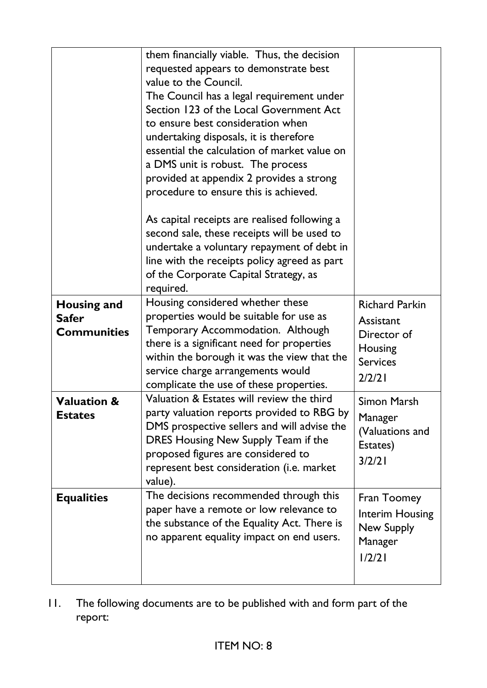|                                                          | them financially viable. Thus, the decision<br>requested appears to demonstrate best<br>value to the Council.<br>The Council has a legal requirement under<br>Section 123 of the Local Government Act<br>to ensure best consideration when<br>undertaking disposals, it is therefore<br>essential the calculation of market value on<br>a DMS unit is robust. The process<br>provided at appendix 2 provides a strong<br>procedure to ensure this is achieved.<br>As capital receipts are realised following a<br>second sale, these receipts will be used to<br>undertake a voluntary repayment of debt in<br>line with the receipts policy agreed as part<br>of the Corporate Capital Strategy, as<br>required. |                                                                                           |
|----------------------------------------------------------|-------------------------------------------------------------------------------------------------------------------------------------------------------------------------------------------------------------------------------------------------------------------------------------------------------------------------------------------------------------------------------------------------------------------------------------------------------------------------------------------------------------------------------------------------------------------------------------------------------------------------------------------------------------------------------------------------------------------|-------------------------------------------------------------------------------------------|
| <b>Housing and</b><br><b>Safer</b><br><b>Communities</b> | Housing considered whether these<br>properties would be suitable for use as<br>Temporary Accommodation. Although<br>there is a significant need for properties<br>within the borough it was the view that the<br>service charge arrangements would<br>complicate the use of these properties.                                                                                                                                                                                                                                                                                                                                                                                                                     | <b>Richard Parkin</b><br>Assistant<br>Director of<br>Housing<br><b>Services</b><br>2/2/21 |
| <b>Valuation &amp;</b><br><b>Estates</b>                 | Valuation & Estates will review the third<br>party valuation reports provided to RBG by<br>DMS prospective sellers and will advise the<br>DRES Housing New Supply Team if the<br>proposed figures are considered to<br>represent best consideration (i.e. market<br>value).                                                                                                                                                                                                                                                                                                                                                                                                                                       | Simon Marsh<br>Manager<br>(Valuations and<br>Estates)<br>3/2/21                           |
| <b>Equalities</b>                                        | The decisions recommended through this<br>paper have a remote or low relevance to<br>the substance of the Equality Act. There is<br>no apparent equality impact on end users.                                                                                                                                                                                                                                                                                                                                                                                                                                                                                                                                     | Fran Toomey<br>Interim Housing<br>New Supply<br>Manager<br>1/2/21                         |

11. The following documents are to be published with and form part of the report: